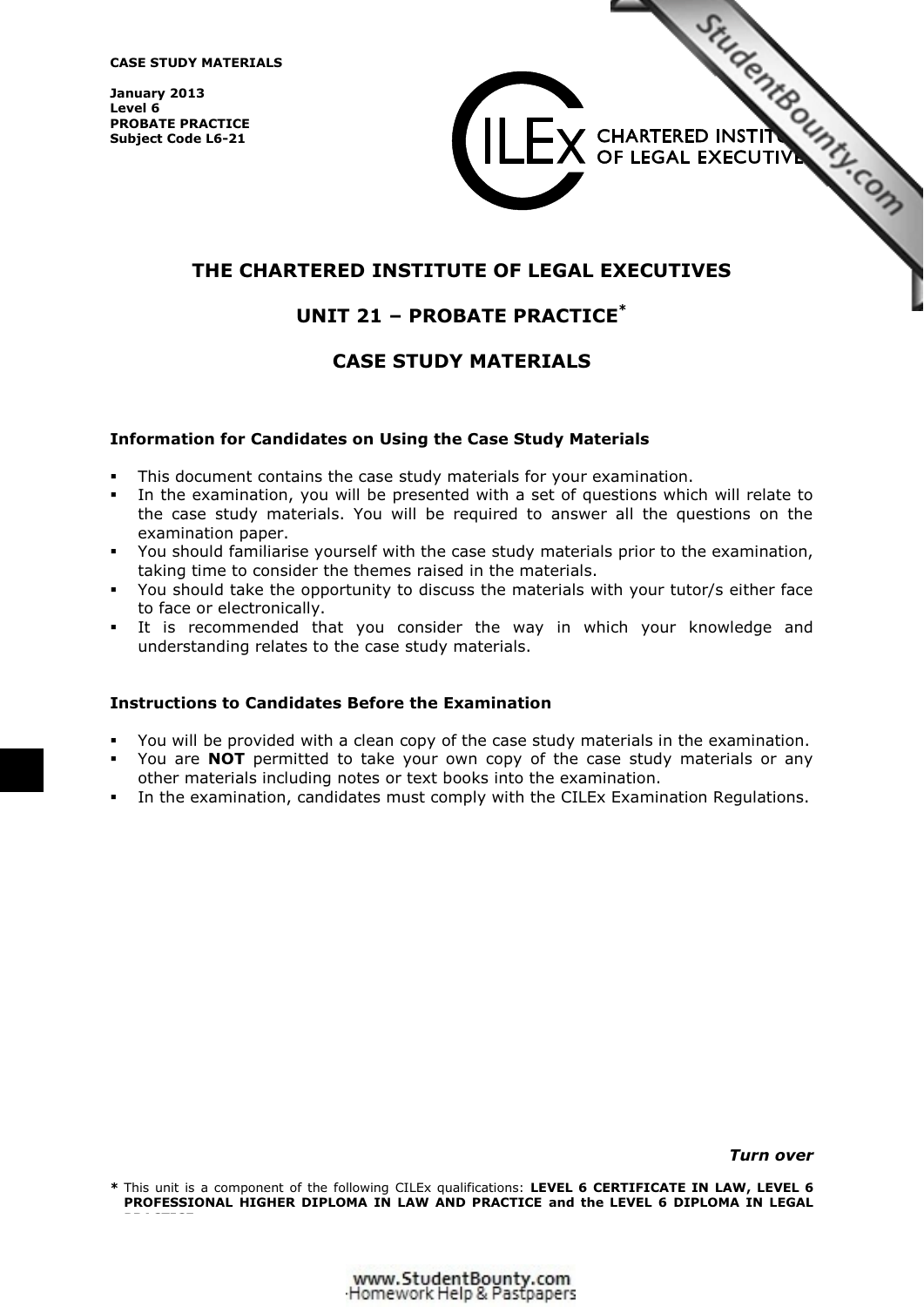**CASE STUDY MATERIALS** 

**January 2013 Level 6 PROBATE PRACTICE Subject Code L6-21** 



# **UNIT 21 – PROBATE PRACTICE\***

# **CASE STUDY MATERIALS**

#### **Information for Candidates on Using the Case Study Materials**

- -This document contains the case study materials for your examination.
- - In the examination, you will be presented with a set of questions which will relate to the case study materials. You will be required to answer all the questions on the examination paper.
- - You should familiarise yourself with the case study materials prior to the examination, taking time to consider the themes raised in the materials.
- - You should take the opportunity to discuss the materials with your tutor/s either face to face or electronically.
- - It is recommended that you consider the way in which your knowledge and understanding relates to the case study materials.

# **Instructions to Candidates Before the Examination**

- -You will be provided with a clean copy of the case study materials in the examination.
- - You are **NOT** permitted to take your own copy of the case study materials or any other materials including notes or text books into the examination.
- -In the examination, candidates must comply with the CILEx Examination Regulations.

*Turn over* 

SHUCK MARINE COM

**ILEX** CHARTERED INSTITUTE

**\*** This unit is a component of the following CILEx qualifications: **LEVEL 6 CERTIFICATE IN LAW, LEVEL 6 PROFESSIONAL HIGHER DIPLOMA IN LAW AND PRACTICE and the LEVEL 6 DIPLOMA IN LEGAL**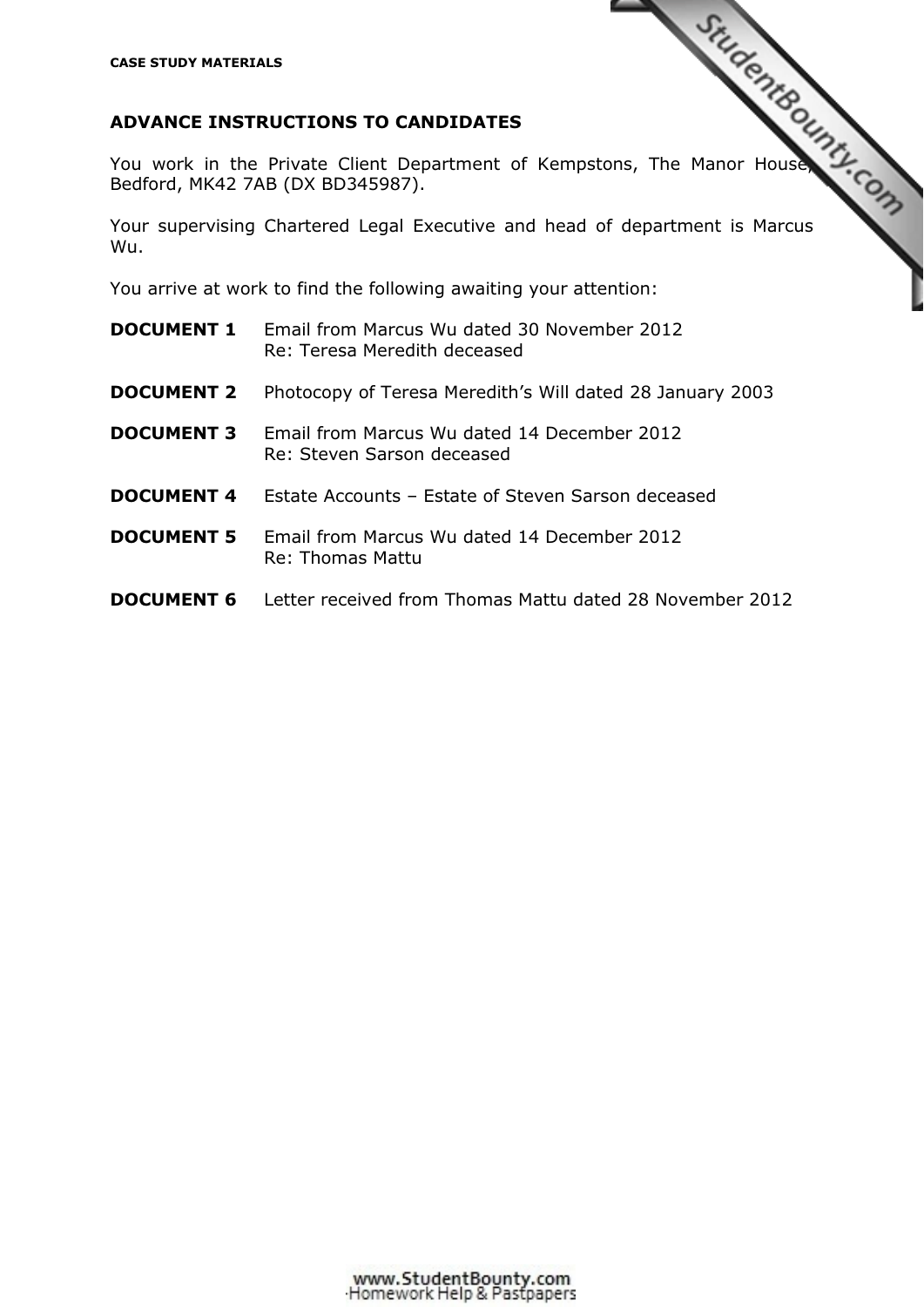# **ADVANCE INSTRUCTIONS TO CANDIDATES**

CASE STUDY MATERIALS<br>
You work in the Private Client Department of Kempstons, The Manor House,<br>
You work in the Private Client Department of Kempstons, The Manor House,<br>
You work in the Private Client Department of Kempsto Bedford, MK42 7AB (DX BD345987).

Your supervising Chartered Legal Executive and head o[f department is Marcus](http://www.studentbounty.com/)  Wu.

You arrive at work to find the following awaiting your attention:

- **DOCUMENT 1** Email from Marcus Wu dated 30 November 2012 Re: Teresa Meredith deceased
- **DOCUMENT 2** Photocopy of Teresa Meredith's Will dated 28 January 2003
- **DOCUMENT 3** Email from Marcus Wu dated 14 December 2012 Re: Steven Sarson deceased
- **DOCUMENT 4** Estate Accounts Estate of Steven Sarson deceased
- **DOCUMENT 5** Email from Marcus Wu dated 14 December 2012 Re: Thomas Mattu
- **DOCUMENT 6** Letter received from Thomas Mattu dated 28 November 2012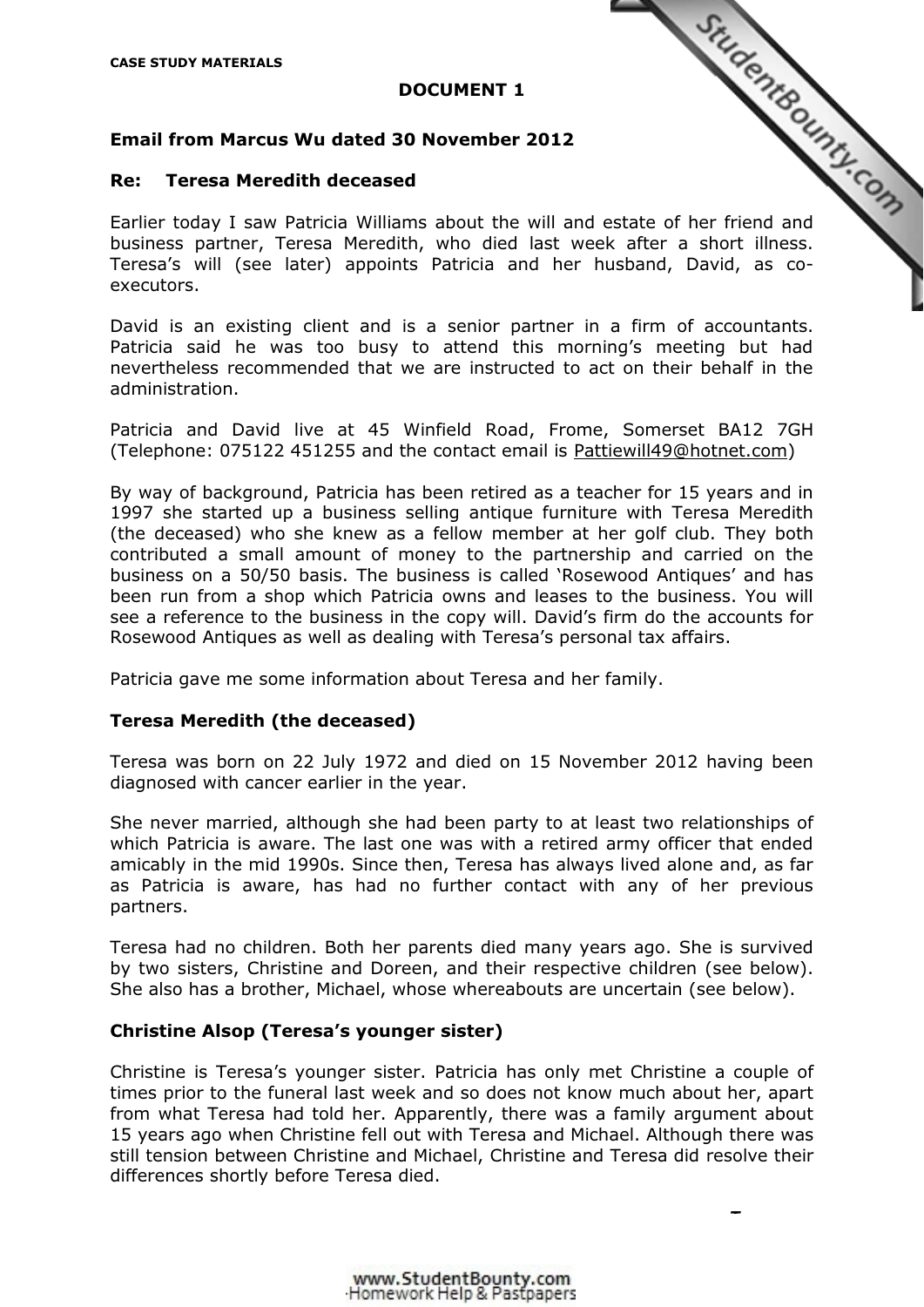# **Email from Marcus Wu dated 30 November 2012**

#### **Re: Teresa Meredith deceased**

Earlier today I saw Patricia Williams about the will and estate of her friend and<br>Materia Department of the will and estate of her friend and<br>Material Williams about the will and estate of her friend and<br>Material Who died business partner, Teresa Meredith, who died last wee[k after a short illness.](http://www.studentbounty.com/)  Teresa's will (see later) appoints Patricia and her husband, David, as coexecutors.

David is an existing client and is a senior partner in a firm of accountants. Patricia said he was too busy to attend this morning's meeting but had nevertheless recommended that we are instructed to act on their behalf in the administration.

Patricia and David live at 45 Winfield Road, Frome, Somerset BA12 7GH (Telephone: 075122 451255 and the contact email is Pattiewill49@hotnet.com)

By way of background, Patricia has been retired as a teacher for 15 years and in 1997 she started up a business selling antique furniture with Teresa Meredith (the deceased) who she knew as a fellow member at her golf club. They both contributed a small amount of money to the partnership and carried on the business on a 50/50 basis. The business is called 'Rosewood Antiques' and has been run from a shop which Patricia owns and leases to the business. You will see a reference to the business in the copy will. David's firm do the accounts for Rosewood Antiques as well as dealing with Teresa's personal tax affairs.

Patricia gave me some information about Teresa and her family.

# **Teresa Meredith (the deceased)**

Teresa was born on 22 July 1972 and died on 15 November 2012 having been diagnosed with cancer earlier in the year.

She never married, although she had been party to at least two relationships of which Patricia is aware. The last one was with a retired army officer that ended amicably in the mid 1990s. Since then, Teresa has always lived alone and, as far as Patricia is aware, has had no further contact with any of her previous partners.

Teresa had no children. Both her parents died many years ago. She is survived by two sisters, Christine and Doreen, and their respective children (see below). She also has a brother, Michael, whose whereabouts are uncertain (see below).

# **Christine Alsop (Teresa's younger sister)**

Christine is Teresa's younger sister. Patricia has only met Christine a couple of times prior to the funeral last week and so does not know much about her, apart from what Teresa had told her. Apparently, there was a family argument about 15 years ago when Christine fell out with Teresa and Michael. Although there was still tension between Christine and Michael, Christine and Teresa did resolve their differences shortly before Teresa died.

> www.StudentBounty.com Homework Help & Pastpapers-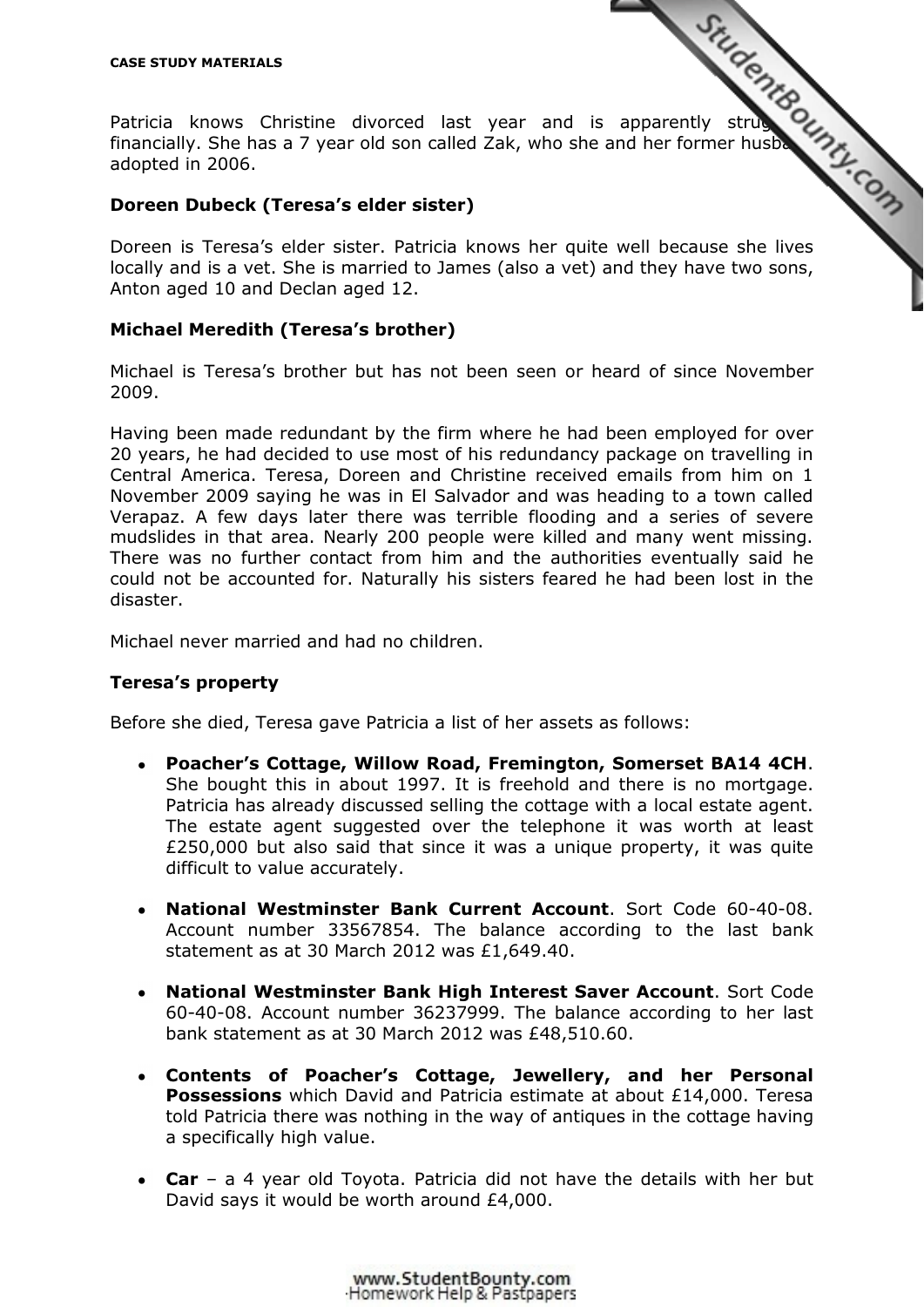#### **CASE STUDY MATERIALS**

CASE STUDY MATERIALS<br>Patricia knows Christine divorced last year and is apparently struggling of the struggling of the has a 7 year old son called Zak, who she and her former husband for the struggling of the has a 7 year financially. She has a 7 year old son called Zak, who she and her former husband adopted in 2006.

# **Doreen Dubeck (Teresa's elder sister)**

Doreen is Teresa's elder sister. Patricia knows her quite well because she lives locally and is a vet. She is married to James (also a vet) and they have two sons, Anton aged 10 and Declan aged 12.

#### **Michael Meredith (Teresa's brother)**

Michael is Teresa's brother but has not been seen or heard of since November 2009.

Having been made redundant by the firm where he had been employed for over 20 years, he had decided to use most of his redundancy package on travelling in Central America. Teresa, Doreen and Christine received emails from him on 1 November 2009 saying he was in El Salvador and was heading to a town called Verapaz. A few days later there was terrible flooding and a series of severe mudslides in that area. Nearly 200 people were killed and many went missing. There was no further contact from him and the authorities eventually said he could not be accounted for. Naturally his sisters feared he had been lost in the disaster.

Michael never married and had no children.

#### **Teresa's property**

Before she died, Teresa gave Patricia a list of her assets as follows:

- **Poacher's Cottage, Willow Road, Fremington, Somerset BA14 4CH**. She bought this in about 1997. It is freehold and there is no mortgage. Patricia has already discussed selling the cottage with a local estate agent. The estate agent suggested over the telephone it was worth at least £250,000 but also said that since it was a unique property, it was quite difficult to value accurately.
- **National Westminster Bank Current Account**. Sort Code 60-40-08. Account number 33567854. The balance according to the last bank statement as at 30 March 2012 was £1,649.40.
- **National Westminster Bank High Interest Saver Account**. Sort Code 60-40-08. Account number 36237999. The balance according to her last bank statement as at 30 March 2012 was £48,510.60.
- **Contents of Poacher's Cottage, Jewellery, and her Personal Possessions** which David and Patricia estimate at about £14,000. Teresa told Patricia there was nothing in the way of antiques in the cottage having a specifically high value.
- **Car** a 4 year old Toyota. Patricia did not have the details with her but David says it would be worth around £4,000.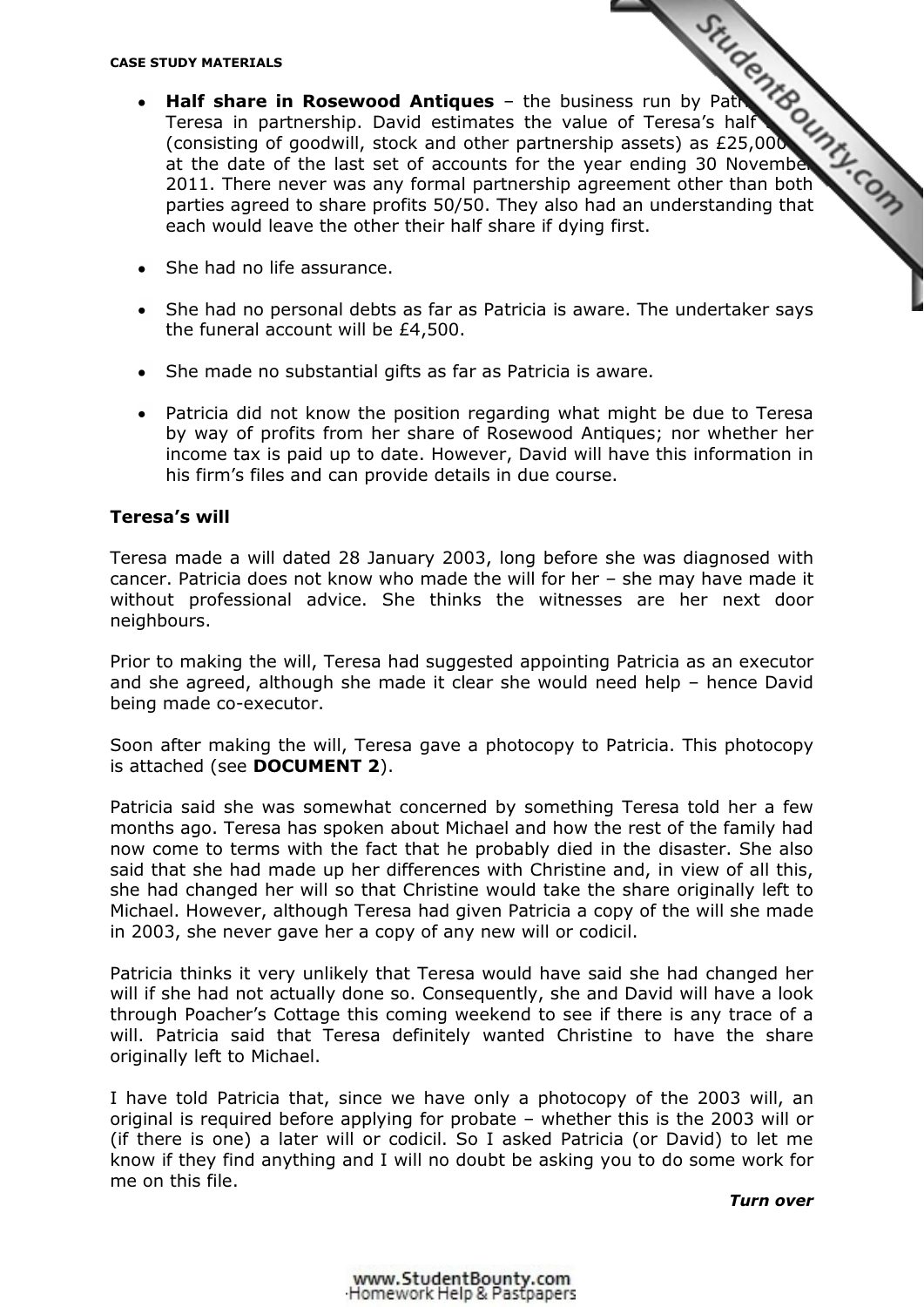- **Half share in Rosewood Antiques** the busin[ess run by Patricia and](http://www.studentbounty.com/) the partnership. David estimates the value of Teresa's half and the partnership assets) as £25,000  $\frac{1}{2}$  arcounts for the year ending 30 November 11 Teresa in partnership. David estimates the value of Teresa's half (consisting of goodwill, stock and other partnership assets) as  $£25,000$ at the date of the last set of accounts for the year ending 30 November 2011. There never was any formal partnership agreement other than both parties agreed to share profits 50/50. They also had an understanding that each would leave the other their half share if dying first.
- She had no life assurance.
- She had no personal debts as far as Patricia is aware. The undertaker says the funeral account will be £4,500.
- She made no substantial gifts as far as Patricia is aware.
- Patricia did not know the position regarding what might be due to Teresa by way of profits from her share of Rosewood Antiques; nor whether her income tax is paid up to date. However, David will have this information in his firm's files and can provide details in due course.

# **Teresa's will**

Teresa made a will dated 28 January 2003, long before she was diagnosed with cancer. Patricia does not know who made the will for her – she may have made it without professional advice. She thinks the witnesses are her next door neighbours.

Prior to making the will, Teresa had suggested appointing Patricia as an executor and she agreed, although she made it clear she would need help – hence David being made co-executor.

Soon after making the will, Teresa gave a photocopy to Patricia. This photocopy is attached (see **DOCUMENT 2**).

Patricia said she was somewhat concerned by something Teresa told her a few months ago. Teresa has spoken about Michael and how the rest of the family had now come to terms with the fact that he probably died in the disaster. She also said that she had made up her differences with Christine and, in view of all this, she had changed her will so that Christine would take the share originally left to Michael. However, although Teresa had given Patricia a copy of the will she made in 2003, she never gave her a copy of any new will or codicil.

Patricia thinks it very unlikely that Teresa would have said she had changed her will if she had not actually done so. Consequently, she and David will have a look through Poacher's Cottage this coming weekend to see if there is any trace of a will. Patricia said that Teresa definitely wanted Christine to have the share originally left to Michael.

I have told Patricia that, since we have only a photocopy of the 2003 will, an original is required before applying for probate – whether this is the 2003 will or (if there is one) a later will or codicil. So I asked Patricia (or David) to let me know if they find anything and I will no doubt be asking you to do some work for me on this file.

*Turn over* 

www.StudentBounty.com Homework Help & Pastpapers-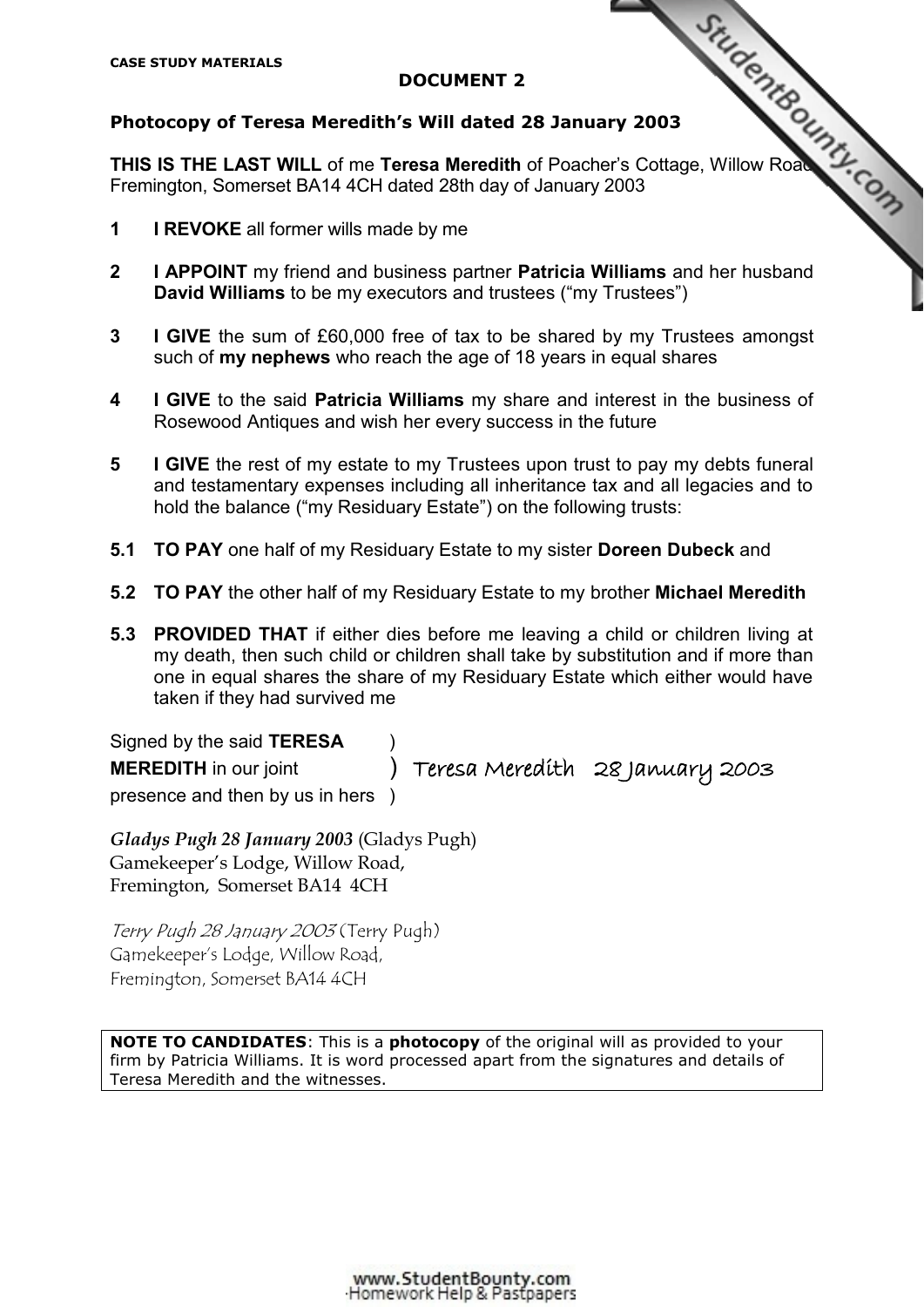CASE STUDY MATERIALS<br>
Photocopy of Teresa Meredith's Will dated 28 January 2003<br>
And the Teresa Meredith of Poacher's Cottage, Willow Road (1993)<br>
The Teresa Meredith of Poacher's Cottage, Willow Road (1994)<br>
The State Age **THIS IS THE LAST WILL** of me **Teresa Meredith** of Poache[r's Cottage, Willow Road,](http://www.studentbounty.com/)  Fremington, Somerset BA14 4CH dated 28th day of January 2003

- **1 I REVOKE** all former wills made by me
- **2 I APPOINT** my friend and business partner **Patricia Williams** and her husband **David Williams** to be my executors and trustees ("my Trustees")
- **3 I GIVE** the sum of £60,000 free of tax to be shared by my Trustees amongst such of **my nephews** who reach the age of 18 years in equal shares
- **4 I GIVE** to the said **Patricia Williams** my share and interest in the business of Rosewood Antiques and wish her every success in the future
- **5 I GIVE** the rest of my estate to my Trustees upon trust to pay my debts funeral and testamentary expenses including all inheritance tax and all legacies and to hold the balance ("my Residuary Estate") on the following trusts:
- **5.1 TO PAY** one half of my Residuary Estate to my sister **Doreen Dubeck** and
- **5.2 TO PAY** the other half of my Residuary Estate to my brother **Michael Meredith**
- **5.3 PROVIDED THAT** if either dies before me leaving a child or children living at my death, then such child or children shall take by substitution and if more than one in equal shares the share of my Residuary Estate which either would have taken if they had survived me

Signed by the said **TERESA** ) presence and then by us in hers )

**MEREDITH** in our joint) Teresa Meredith 28 January 2003

*Gladys Pugh 28 January 2003* (Gladys Pugh) Gamekeeper's Lodge, Willow Road, Fremington, Somerset BA14 4CH

Terry Pugh 28 January 2003 (Terry Pugh) Gamekeeper's Lodge, Willow Road, Fremington, Somerset BA14 4CH

**NOTE TO CANDIDATES**: This is a **photocopy** of the original will as provided to your firm by Patricia Williams. It is word processed apart from the signatures and details of Teresa Meredith and the witnesses.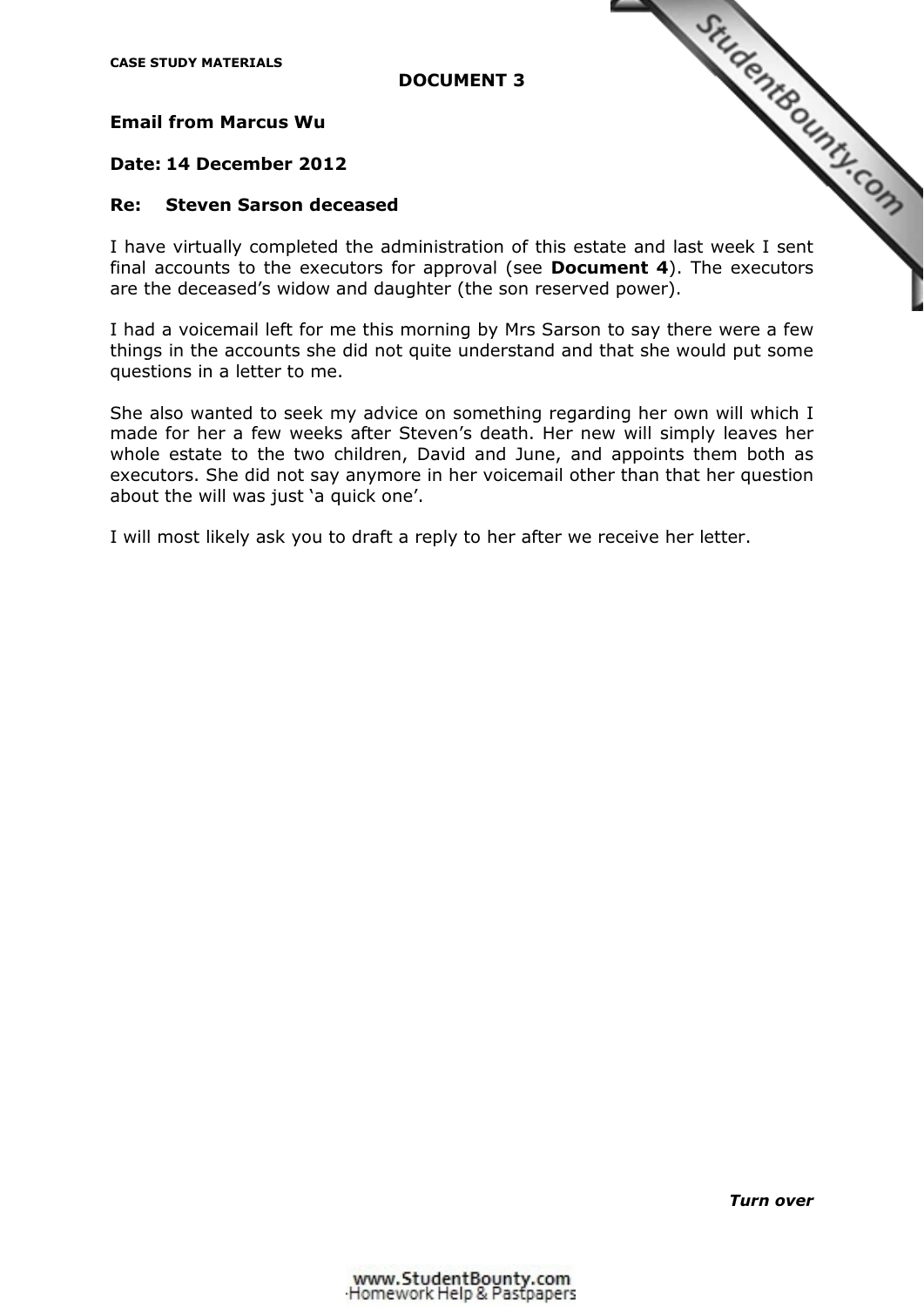# **Email from Marcus Wu**

# **Date: 14 December 2012**

# **Re: Steven Sarson deceased**

CASE STUDY MATERIALS<br>
Email from Marcus Wu<br>
Date: 14 December 2012<br>
Re: Steven Sarson deceased<br>
I have virtually completed the administration of this estate and last week I sent final accounts to the executors for approval (see **Document 4**). The executors are the deceased's widow and daughter (the son reserved power).

I had a voicemail left for me this morning by Mrs Sarson to say there were a few things in the accounts she did not quite understand and that she would put some questions in a letter to me.

She also wanted to seek my advice on something regarding her own will which I made for her a few weeks after Steven's death. Her new will simply leaves her whole estate to the two children, David and June, and appoints them both as executors. She did not say anymore in her voicemail other than that her question about the will was just 'a quick one'.

I will most likely ask you to draft a reply to her after we receive her letter.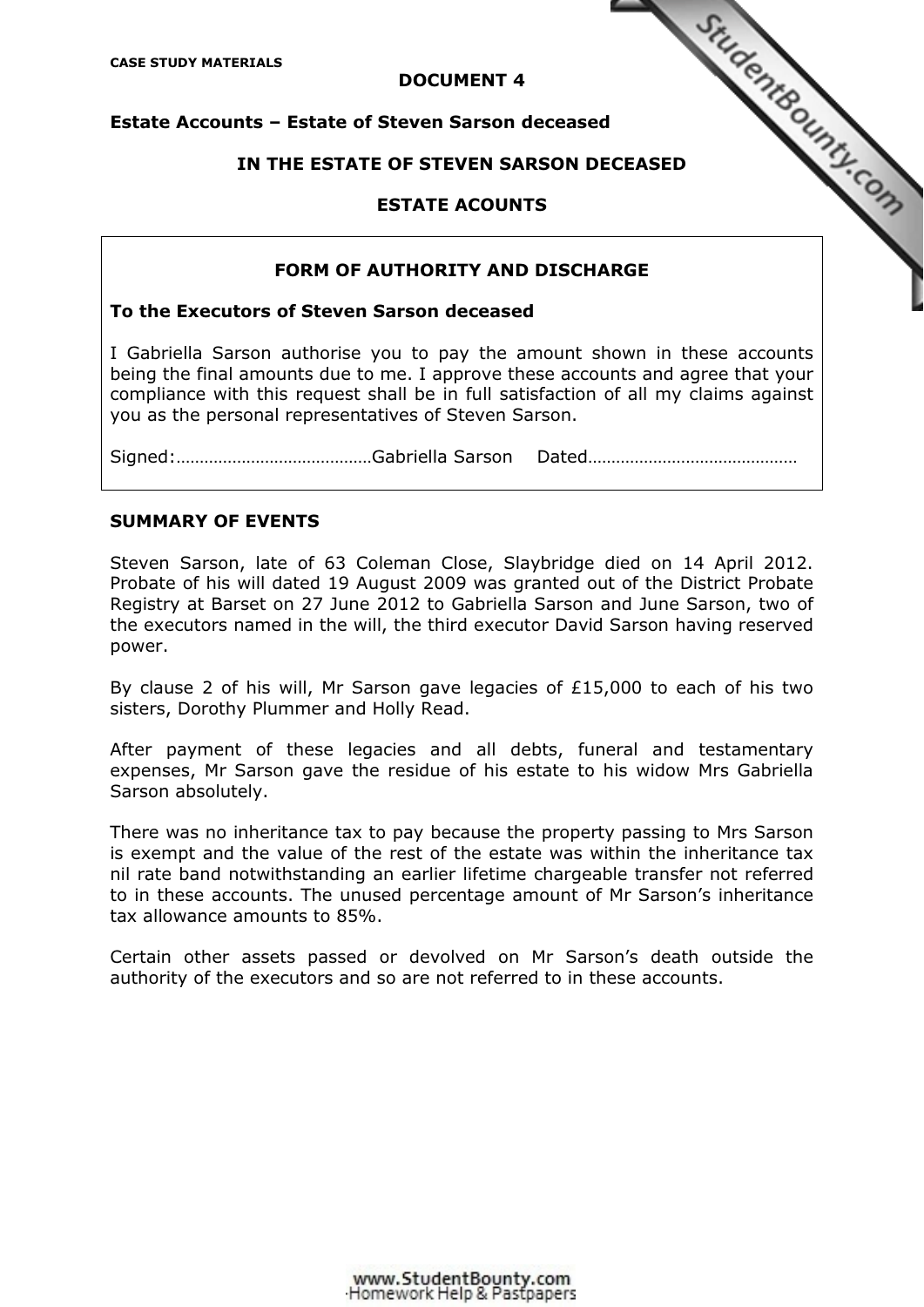# **Estate Accounts – Estate of Steven Sarson deceased**

# **IN THE ESTATE OF STEVEN SARSON DECEASED**

# **ESTATE ACOUNTS**

# **FORM OF AUTHORITY AND DISCHARGE**

#### **To the Executors of Steven Sarson deceased**

I Gabriella Sarson authorise you to pay the amount shown in these accounts being the final amounts due to me. I approve these accounts and agree that your compliance with this request shall be in full satisfaction of all my claims against you as the personal representatives of Steven Sarson.

Signed:……………………………………Gabriella Sarson Dated………………………………………

# **SUMMARY OF EVENTS**

Steven Sarson, late of 63 Coleman Close, Slaybridge died on 14 April 2012. Probate of his will dated 19 August 2009 was granted out of the District Probate Registry at Barset on 27 June 2012 to Gabriella Sarson and June Sarson, two of the executors named in the will, the third executor David Sarson having reserved power.

By clause 2 of his will, Mr Sarson gave legacies of £15,000 to each of his two sisters, Dorothy Plummer and Holly Read.

After payment of these legacies and all debts, funeral and testamentary expenses, Mr Sarson gave the residue of his estate to his widow Mrs Gabriella Sarson absolutely.

There was no inheritance tax to pay because the property passing to Mrs Sarson is exempt and the value of the rest of the estate was within the inheritance tax nil rate band notwithstanding an earlier lifetime chargeable transfer not referred to in these accounts. The unused percentage amount of Mr Sarson's inheritance tax allowance amounts to 85%.

Certain other assets passed or devolved on Mr Sarson's death outside the authority of the executors and so are not referred to in these accounts.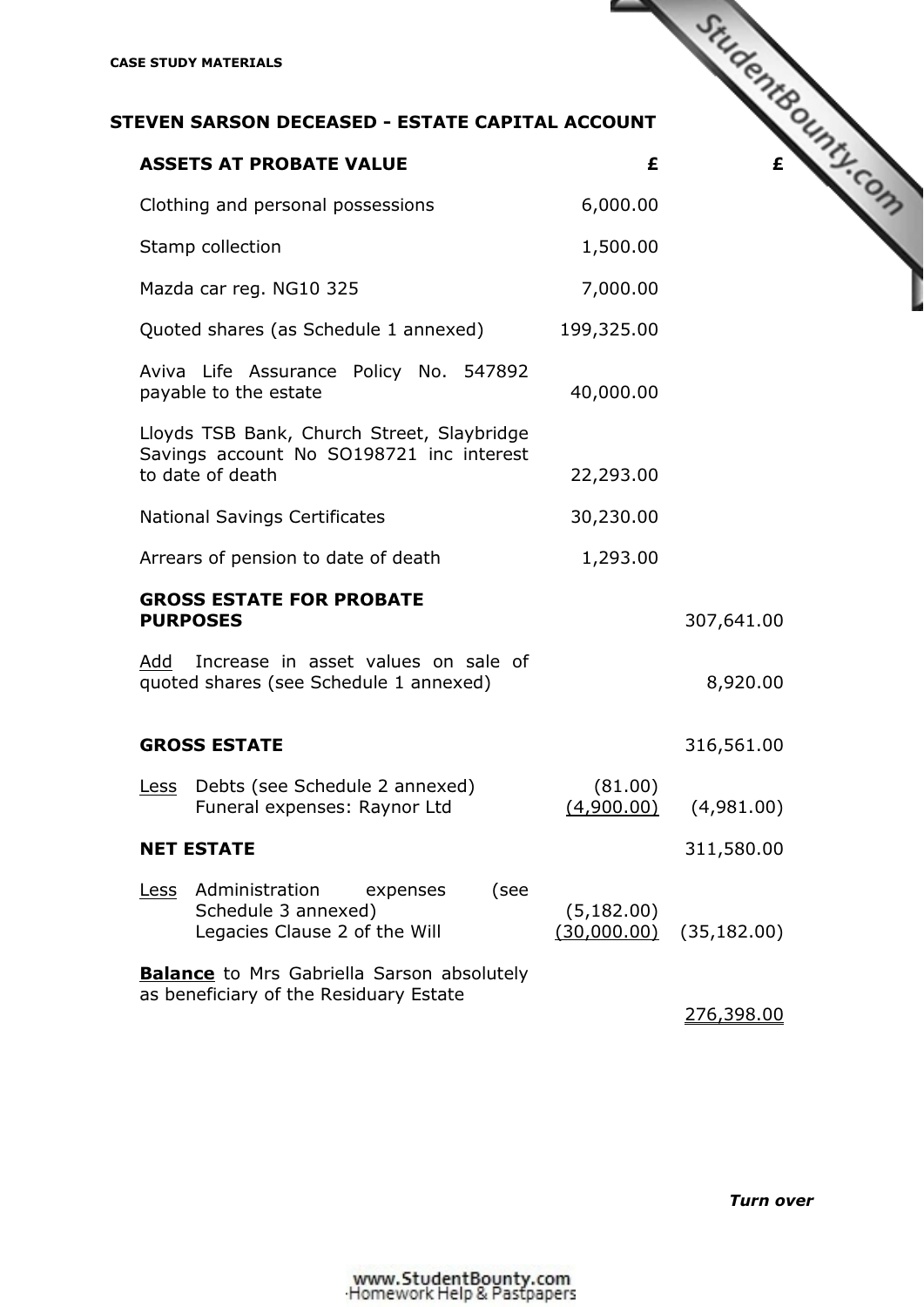# **STEVEN SARSON DECEASED - ESTATE CAPITAL ACCOUNT**

|                                                                                      | <b>E STUDY MATERIALS</b>                                                                                   |                            | StudentBounty.com |  |
|--------------------------------------------------------------------------------------|------------------------------------------------------------------------------------------------------------|----------------------------|-------------------|--|
|                                                                                      | EVEN SARSON DECEASED - ESTATE CAPITAL ACCOUNT                                                              |                            |                   |  |
|                                                                                      | <b>ASSETS AT PROBATE VALUE</b>                                                                             |                            |                   |  |
|                                                                                      | Clothing and personal possessions                                                                          | 6,000.00                   |                   |  |
|                                                                                      | Stamp collection                                                                                           | 1,500.00                   |                   |  |
|                                                                                      | Mazda car reg. NG10 325                                                                                    | 7,000.00                   |                   |  |
|                                                                                      | Quoted shares (as Schedule 1 annexed)                                                                      | 199,325.00                 |                   |  |
|                                                                                      | Aviva Life Assurance Policy No. 547892<br>payable to the estate                                            | 40,000.00                  |                   |  |
|                                                                                      | Lloyds TSB Bank, Church Street, Slaybridge<br>Savings account No SO198721 inc interest<br>to date of death | 22,293.00                  |                   |  |
|                                                                                      | <b>National Savings Certificates</b>                                                                       | 30,230.00                  |                   |  |
|                                                                                      | Arrears of pension to date of death                                                                        | 1,293.00                   |                   |  |
| <b>GROSS ESTATE FOR PROBATE</b><br><b>PURPOSES</b>                                   |                                                                                                            |                            | 307,641.00        |  |
| Add<br>Increase in asset values on sale of<br>quoted shares (see Schedule 1 annexed) |                                                                                                            |                            | 8,920.00          |  |
|                                                                                      | <b>GROSS ESTATE</b>                                                                                        |                            | 316,561.00        |  |
| Less                                                                                 | Debts (see Schedule 2 annexed)<br>Funeral expenses: Raynor Ltd                                             | (81.00)<br>(4,900.00)      | (4,981.00)        |  |
| <b>NET ESTATE</b>                                                                    |                                                                                                            |                            | 311,580.00        |  |
|                                                                                      | Less Administration<br>(see<br>expenses<br>Schedule 3 annexed)<br>Legacies Clause 2 of the Will            | (5, 182.00)<br>(30,000.00) | (35, 182.00)      |  |
|                                                                                      | <b>Balance</b> to Mrs Gabriella Sarson absolutely<br>as beneficiary of the Residuary Estate                |                            | 276,398.00        |  |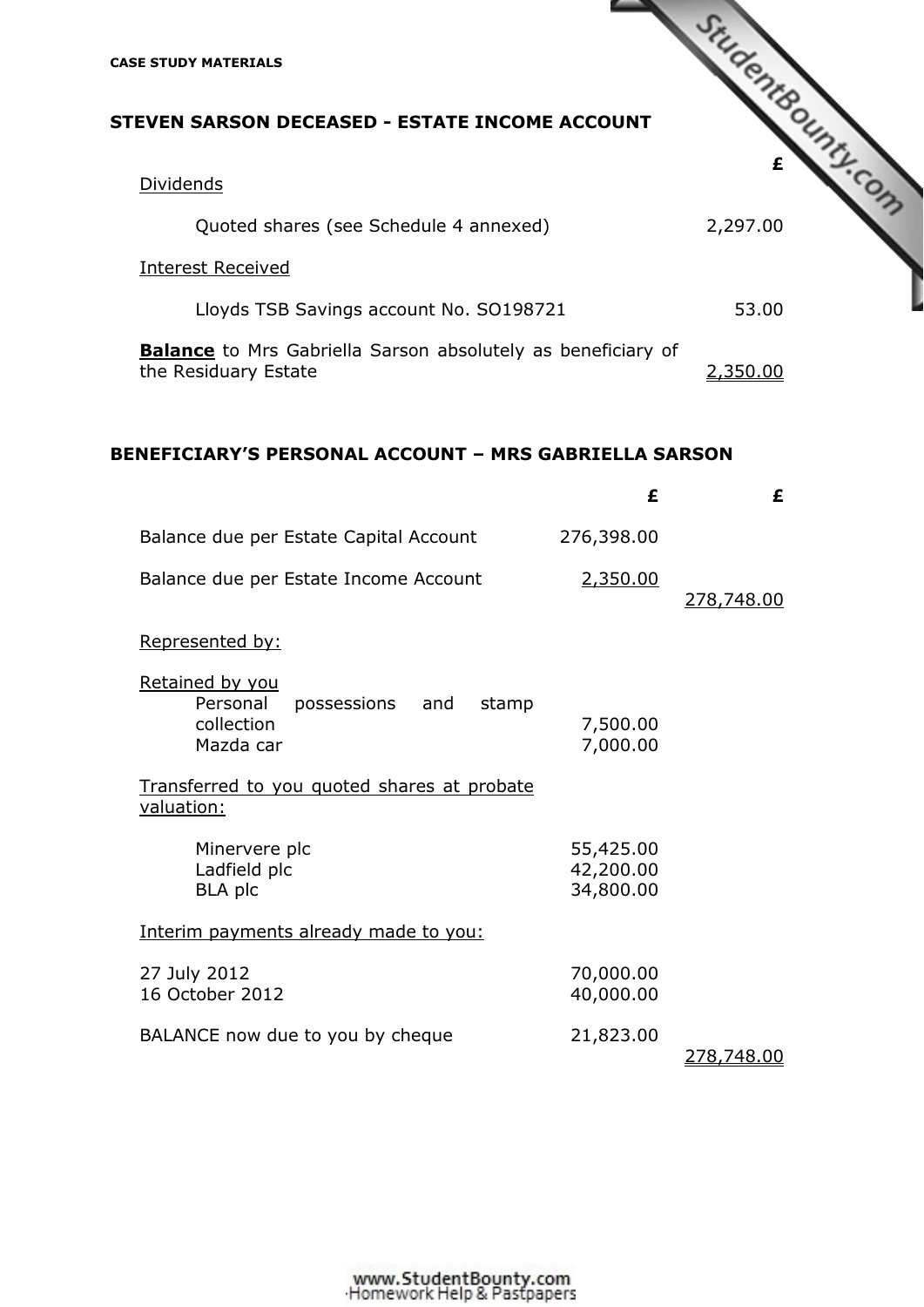# **STEVEN SARSON DECEASED - ESTATE INCOME ACCOUNT**

| <b>Dividends</b>                                                                            |          |  |
|---------------------------------------------------------------------------------------------|----------|--|
| Quoted shares (see Schedule 4 annexed)                                                      | 2,297.00 |  |
| Interest Received                                                                           |          |  |
| Lloyds TSB Savings account No. SO198721                                                     | 53.00    |  |
| <b>Balance</b> to Mrs Gabriella Sarson absolutely as beneficiary of<br>the Residuary Estate |          |  |

# **BENEFICIARY'S PERSONAL ACCOUNT – MRS GABRIELLA SARSON**

|                                                                                    | £                                   | £          |
|------------------------------------------------------------------------------------|-------------------------------------|------------|
| Balance due per Estate Capital Account                                             | 276,398.00                          |            |
| Balance due per Estate Income Account                                              | 2,350.00                            | 278,748.00 |
| Represented by:                                                                    |                                     |            |
| Retained by you<br>Personal<br>possessions and<br>stamp<br>collection<br>Mazda car | 7,500.00<br>7,000.00                |            |
| Transferred to you quoted shares at probate<br>valuation:                          |                                     |            |
| Minervere plc<br>Ladfield plc<br><b>BLA</b> plc                                    | 55,425.00<br>42,200.00<br>34,800.00 |            |
| Interim payments already made to you:                                              |                                     |            |
| 27 July 2012<br>16 October 2012                                                    | 70,000.00<br>40,000.00              |            |
| BALANCE now due to you by cheque                                                   | 21,823.00                           | 278,748.00 |

www.StudentBounty.com<br>Homework Help & Pastpapers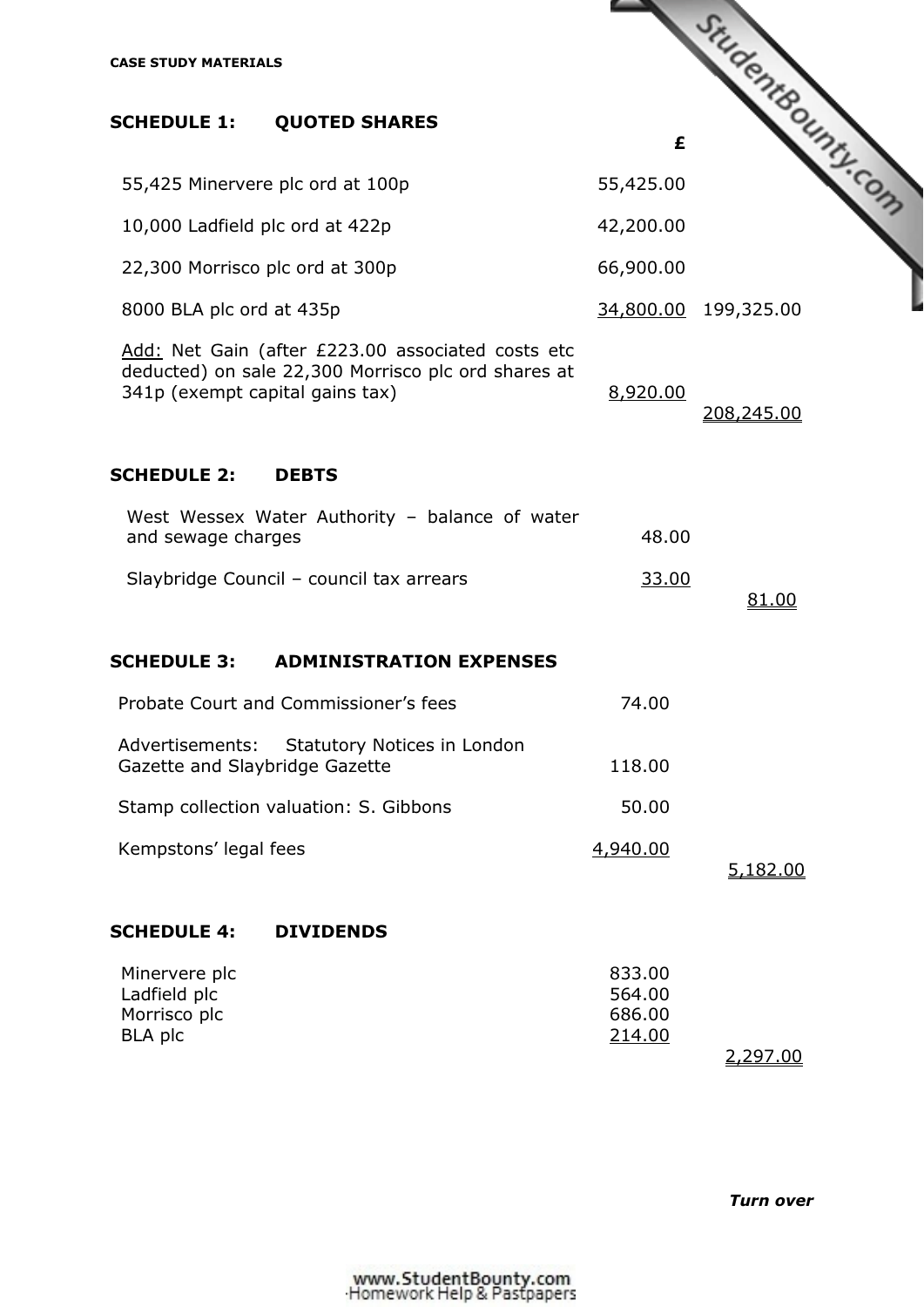| <b>CASE STUDY MATERIALS</b>                                                                                                                 |                                      | StudentBounty.com    |
|---------------------------------------------------------------------------------------------------------------------------------------------|--------------------------------------|----------------------|
|                                                                                                                                             |                                      |                      |
| <b>SCHEDULE 1:</b><br><b>QUOTED SHARES</b>                                                                                                  | £                                    |                      |
| 55,425 Minervere plc ord at 100p                                                                                                            | 55,425.00                            |                      |
| 10,000 Ladfield plc ord at 422p                                                                                                             | 42,200.00                            |                      |
| 22,300 Morrisco plc ord at 300p                                                                                                             | 66,900.00                            |                      |
| 8000 BLA plc ord at 435p                                                                                                                    |                                      | 34,800.00 199,325.00 |
| Add: Net Gain (after £223.00 associated costs etc<br>deducted) on sale 22,300 Morrisco plc ord shares at<br>341p (exempt capital gains tax) | 8,920.00                             | 208,245.00           |
| <b>SCHEDULE 2:</b><br><b>DEBTS</b>                                                                                                          |                                      |                      |
| West Wessex Water Authority - balance of water<br>and sewage charges                                                                        | 48.00                                |                      |
| Slaybridge Council - council tax arrears                                                                                                    | 33.00                                | 81.00                |
| <b>SCHEDULE 3:</b><br><b>ADMINISTRATION EXPENSES</b>                                                                                        |                                      |                      |
| Probate Court and Commissioner's fees                                                                                                       | 74.00                                |                      |
| Advertisements:<br><b>Statutory Notices in London</b><br>Gazette and Slaybridge Gazette                                                     | 118.00                               |                      |
| Stamp collection valuation: S. Gibbons                                                                                                      | 50.00                                |                      |
| Kempstons' legal fees                                                                                                                       | 4,940.00                             | 5,182.00             |
|                                                                                                                                             |                                      |                      |
| <b>SCHEDULE 4:</b><br><b>DIVIDENDS</b>                                                                                                      |                                      |                      |
| Minervere plc<br>Ladfield plc<br>Morrisco plc<br><b>BLA</b> plc                                                                             | 833.00<br>564.00<br>686.00<br>214.00 | 2,297.00             |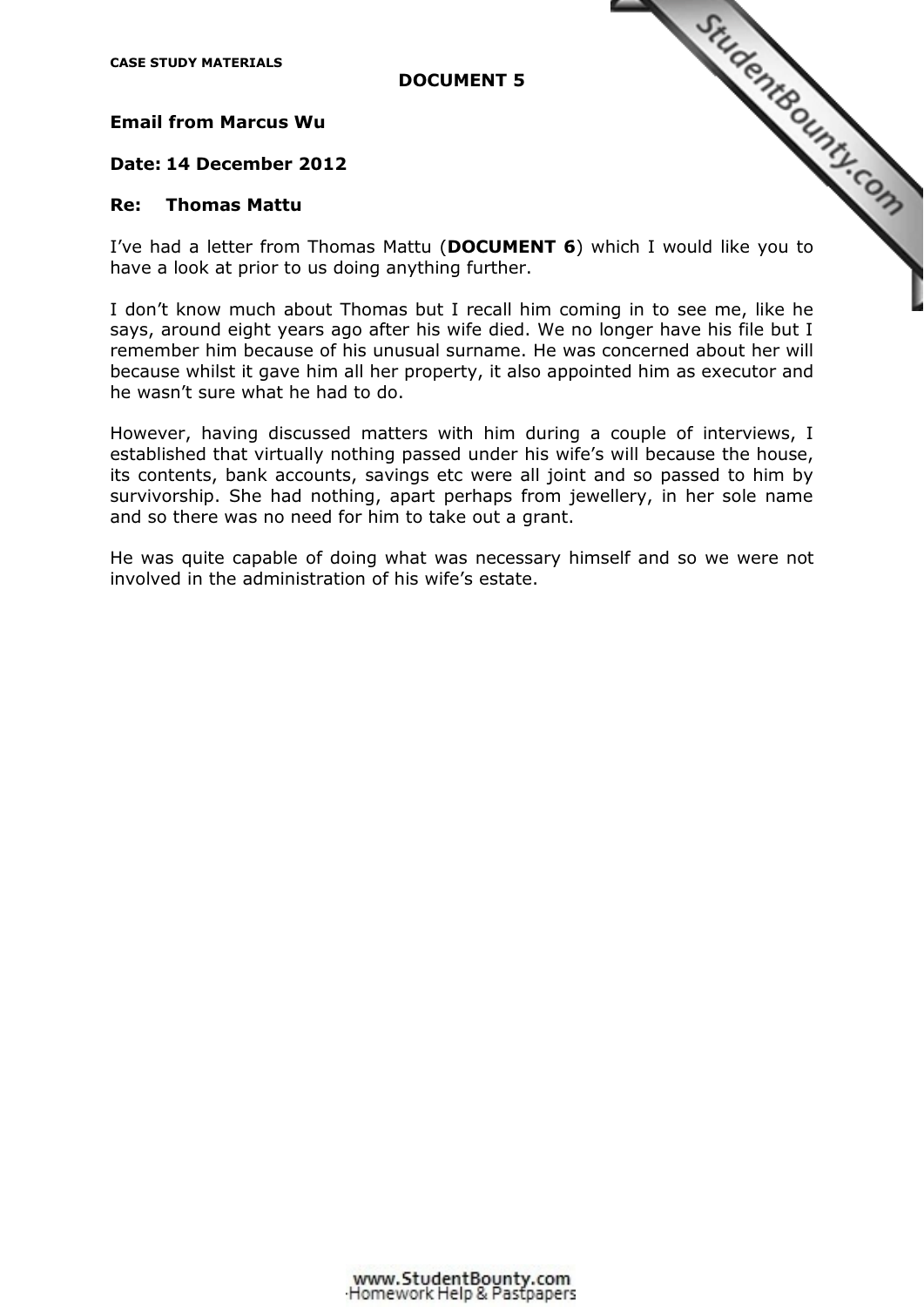# **Email from Marcus Wu**

# **Date: 14 December 2012**

# **Re: Thomas Mattu**

CASE STUDY MATERIALS<br> **Email from Marcus Wu**<br> **DOCUMENT 6**) Which I would like you to<br>
I've had a letter from Thomas Mattu (**DOCUMENT 6**) which I would like you to have a look at prior to us doing anything further.

I don't know much about Thomas but I recall him coming in to see me, like he says, around eight years ago after his wife died. We no longer have his file but I remember him because of his unusual surname. He was concerned about her will because whilst it gave him all her property, it also appointed him as executor and he wasn't sure what he had to do.

However, having discussed matters with him during a couple of interviews, I established that virtually nothing passed under his wife's will because the house, its contents, bank accounts, savings etc were all joint and so passed to him by survivorship. She had nothing, apart perhaps from jewellery, in her sole name and so there was no need for him to take out a grant.

He was quite capable of doing what was necessary himself and so we were not involved in the administration of his wife's estate.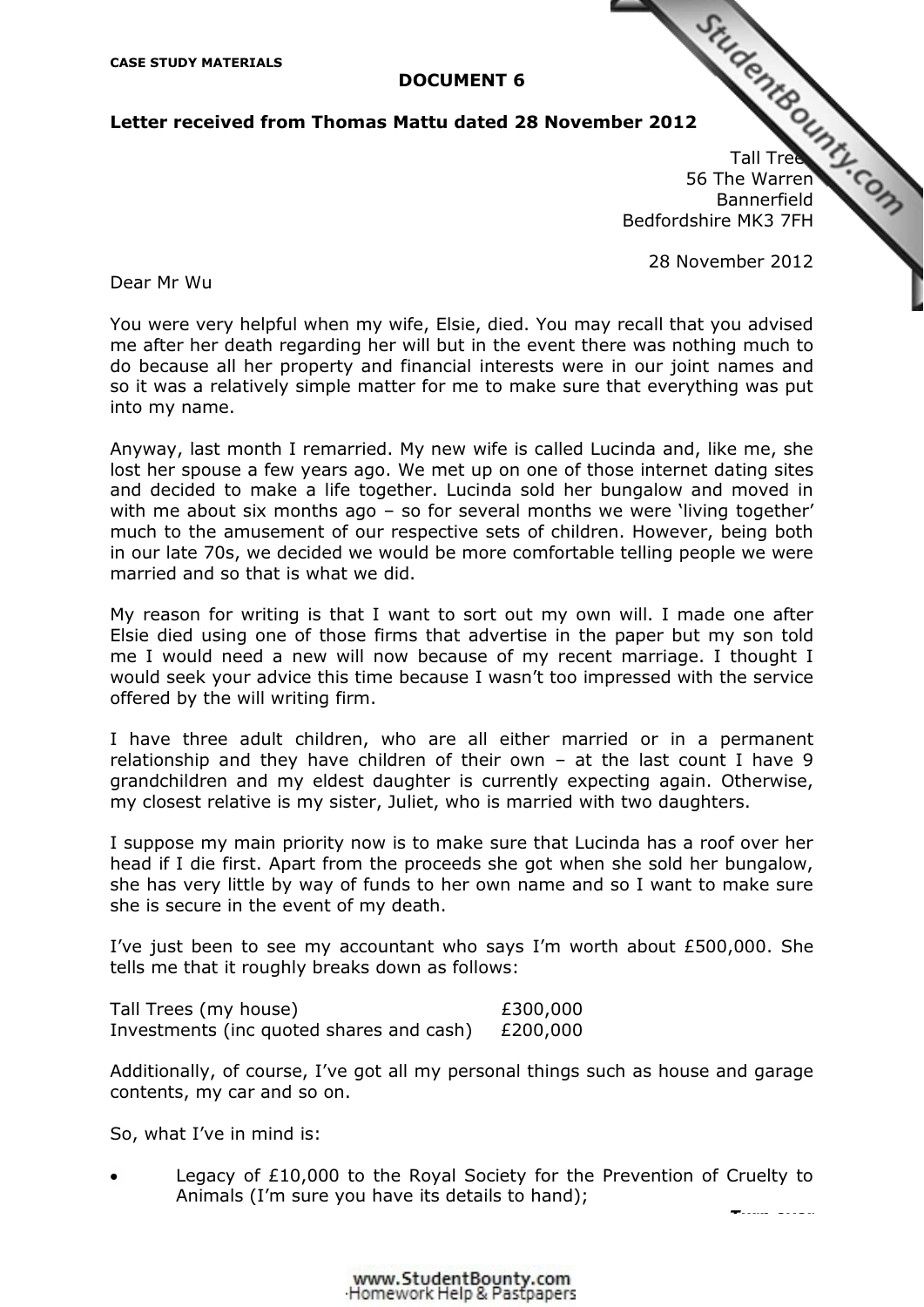# **Letter received from Thomas Mattu dated 28 November 2012**

Tall Trees 56 The Warren Bannerfield [Bedfordshire MK3 7FH](http://www.studentbounty.com/) 

28 November 2012

Dear Mr Wu

You were very helpful when my wife, Elsie, died. You may recall that you advised me after her death regarding her will but in the event there was nothing much to do because all her property and financial interests were in our joint names and so it was a relatively simple matter for me to make sure that everything was put into my name.

Anyway, last month I remarried. My new wife is called Lucinda and, like me, she lost her spouse a few years ago. We met up on one of those internet dating sites and decided to make a life together. Lucinda sold her bungalow and moved in with me about six months ago – so for several months we were 'living together' much to the amusement of our respective sets of children. However, being both in our late 70s, we decided we would be more comfortable telling people we were married and so that is what we did.

My reason for writing is that I want to sort out my own will. I made one after Elsie died using one of those firms that advertise in the paper but my son told me I would need a new will now because of my recent marriage. I thought I would seek your advice this time because I wasn't too impressed with the service offered by the will writing firm.

I have three adult children, who are all either married or in a permanent relationship and they have children of their own – at the last count I have 9 grandchildren and my eldest daughter is currently expecting again. Otherwise, my closest relative is my sister, Juliet, who is married with two daughters.

I suppose my main priority now is to make sure that Lucinda has a roof over her head if I die first. Apart from the proceeds she got when she sold her bungalow, she has very little by way of funds to her own name and so I want to make sure she is secure in the event of my death.

I've just been to see my accountant who says I'm worth about £500,000. She tells me that it roughly breaks down as follows:

| Tall Trees (my house)                    | £300,000 |
|------------------------------------------|----------|
| Investments (inc quoted shares and cash) | £200,000 |

Additionally, of course, I've got all my personal things such as house and garage contents, my car and so on.

So, what I've in mind is:

Legacy of £10,000 to the Royal Society for the Prevention of Cruelty to Animals (I'm sure you have its details to hand); *Turn over* 

> www.StudentBounty.com Homework Help & Pastpapers-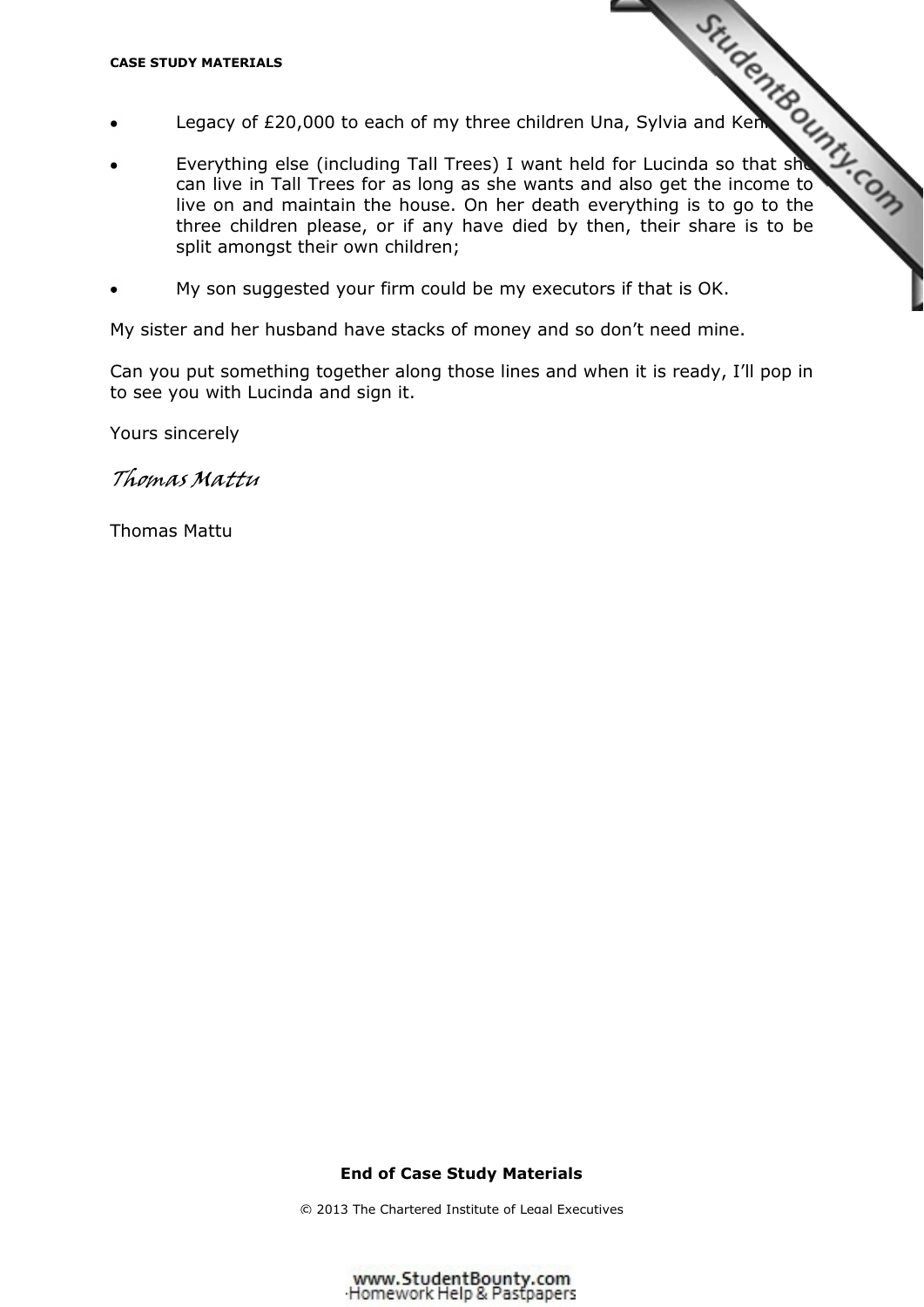#### **CASE STUDY MATERIALS**

- 
- Legacy of £20,000 to each of my three children Una, Sylvia and Kenneth;<br>Legacy of £20,000 to each of my three children Una, Sylvia and Kenneth;<br>Legacy of £20,000 to each of my three children Una, Sylvia and Kenneth;<br>Legacy Everything else (including Tall Trees) I want held for Lucinda so that she can live in Tall Trees for as long as she wants and also get the income to live on and maintain the house. On her death ev[erything is to go to the](http://www.studentbounty.com/)  three children please, or if any have died by then, their share is to be split amongst their own children;
- My son suggested your firm could be my executors if that is OK.

My sister and her husband have stacks of money and so don't need mine.

Can you put something together along those lines and when it is ready, I'll pop in to see you with Lucinda and sign it.

Yours sincerely

Thomas Mattu

Thomas Mattu

#### **End of Case Study Materials**

© 2013 The Chartered Institute of Legal Executives

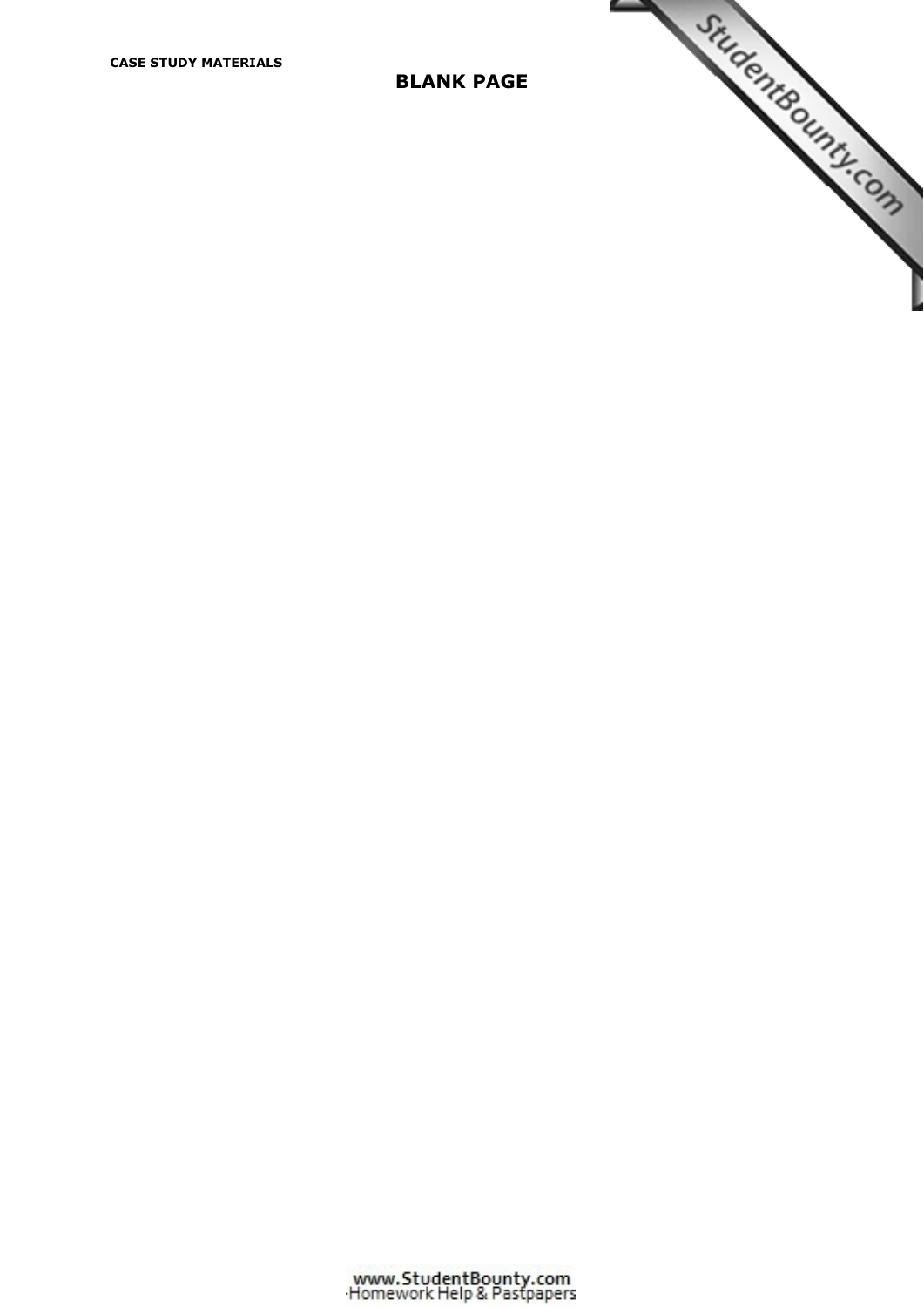# **BLANK PAGE**



www.StudentBounty.com<br>Homework Help & Pastpapers